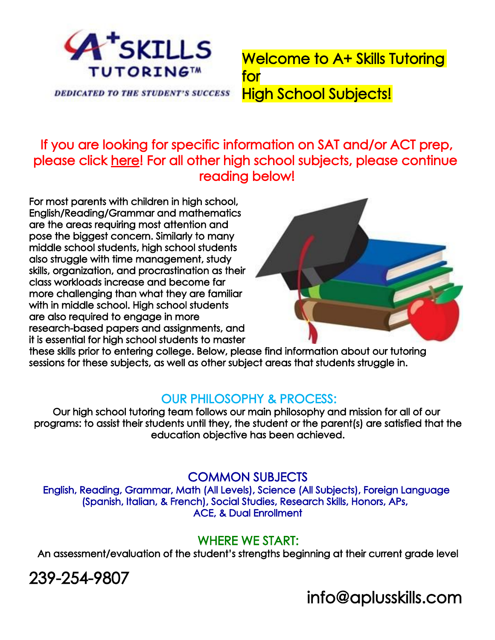

**DEDICATED TO THE STUDENT'S SUCCESS** 

Welcome to A+ Skills Tutoring for High School Subjects!

# If you are looking for specific information on SAT and/or ACT prep, please click here! For all other high school subjects, please continue reading below!

For most parents with children in high school, English/Reading/Grammar and mathematics are the areas requiring most attention and pose the biggest concern. Similarly to many middle school students, high school students also struggle with time management, study skills, organization, and procrastination as their class workloads increase and become far more challenging than what they are familiar with in middle school. High school students are also required to engage in more research-based papers and assignments, and it is essential for high school students to master



these skills prior to entering college. Below, please find information about our tutoring sessions for these subjects, as well as other subject areas that students struggle in.

# OUR PHILOSOPHY & PROCESS:

Our high school tutoring team follows our main philosophy and mission for all of our programs: to assist their students until they, the student or the parent(s) are satisfied that the education objective has been achieved.

# COMMON SUBJECTS

English, Reading, Grammar, Math (All Levels), Science (All Subjects), Foreign Language (Spanish, Italian, & French), Social Studies, Research Skills, Honors, APs, ACE, & Dual Enrollment

# WHERE WE START:

An assessment/evaluation of the student's strengths beginning at their current grade level

239-254-9807

info@aplusskills.com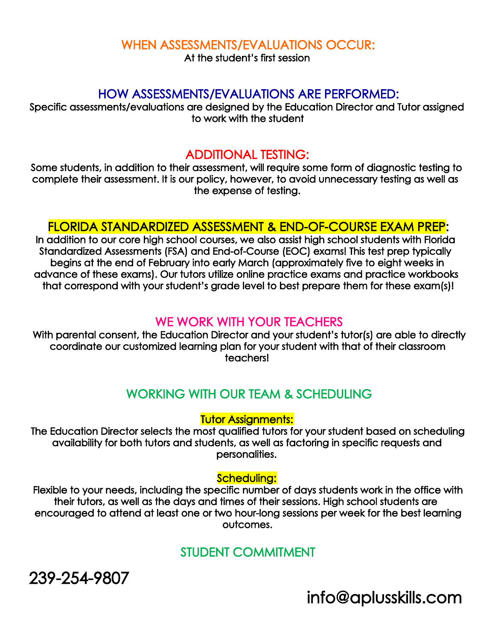#### WHEN ASSESSMENTS/EVALUATIONS OCCUR:

At the student's first session

#### HOW ASSESSMENTS/EVALUATIONS ARE PERFORMED:

Specific assessments/evaluations are designed by the Education Director and Tutor assigned to work with the student

### ADDITIONAL TESTING:

Some students, in addition to their assessment, will require some form of diagnostic testing to complete their assessment. It is our policy, however, to avoid unnecessary testing as well as the expense of testing.

### FLORIDA STANDARDIZED ASSESSMENT & END-OF-COURSE EXAM PREP:

In addition to our core high school courses, we also assist high school students with Florida Standardized Assessments (FSA) and End-of-Course (EOC) exams! This test prep typically begins at the end of February into early March (approximately five to eight weeks in advance of these exams). Our tutors utilize online practice exams and practice workbooks that correspond with your student's grade level to best prepare them for these exam(s)!

#### WE WORK WITH YOUR TEACHERS

With parental consent, the Education Director and your student's tutor(s) are able to directly coordinate our customized learning plan for your student with that of their classroom teachers!

# WORKING WITH OUR TEAM & SCHEDULING

#### Tutor Assignments:

The Education Director selects the most qualified tutors for your student based on scheduling availability for both tutors and students, as well as factoring in specific requests and personalities.

#### Scheduling:

 Flexible to your needs, including the specific number of days students work in the office with their tutors, as well as the days and times of their sessions. High school students are encouraged to attend at least one or two hour-long sessions per week for the best learning outcomes.

# STUDENT COMMITMENT

239-254-9807

info@aplusskills.com